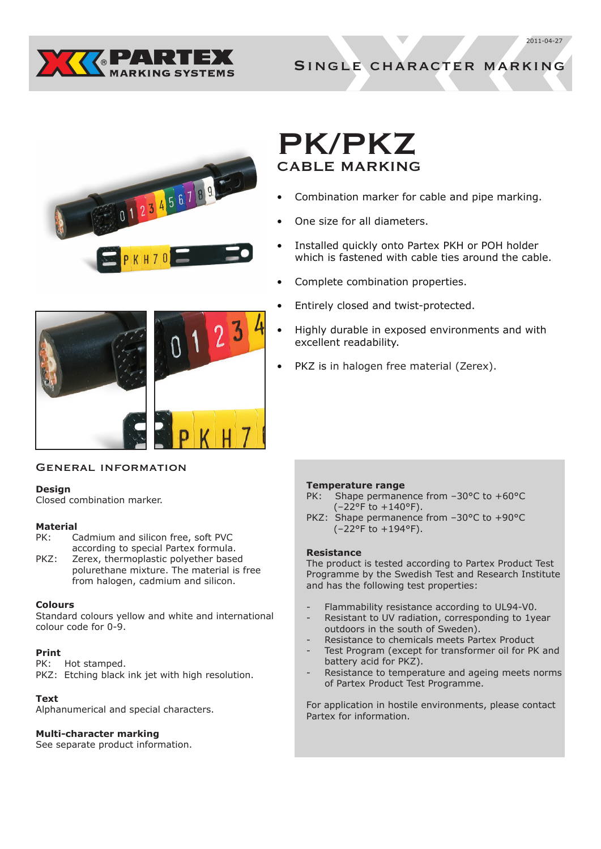



Single character marking



# PK/PKZ CABLE MARKING

- Combination marker for cable and pipe marking.
- One size for all diameters.
- Installed quickly onto Partex PKH or POH holder which is fastened with cable ties around the cable.
- Complete combination properties.
- Entirely closed and twist-protected.
- Highly durable in exposed environments and with excellent readability.
- PKZ is in halogen free material (Zerex).

## General information

## **Design**

Closed combination marker.

## **Material**

- PK: Cadmium and silicon free, soft PVC according to special Partex formula.
- PKZ: Zerex, thermoplastic polyether based polurethane mixture. The material is free from halogen, cadmium and silicon.

## **Colours**

Standard colours yellow and white and international colour code for 0-9.

## **Print**

PK: Hot stamped.

PKZ: Etching black ink jet with high resolution.

## **Text**

Alphanumerical and special characters.

## **Multi-character marking**

See separate product information.

## **Temperature range**

- PK: Shape permanence from -30°C to +60°C (–22°F to +140°F).
- PKZ: Shape permanence from –30°C to +90°C (–22°F to +194°F).

#### **Resistance**

The product is tested according to Partex Product Test Programme by the Swedish Test and Research Institute and has the following test properties:

- Flammability resistance according to UL94-V0.
- Resistant to UV radiation, corresponding to 1year outdoors in the south of Sweden).
- Resistance to chemicals meets Partex Product
- Test Program (except for transformer oil for PK and battery acid for PKZ).
- Resistance to temperature and ageing meets norms of Partex Product Test Programme.

For application in hostile environments, please contact Partex for information.